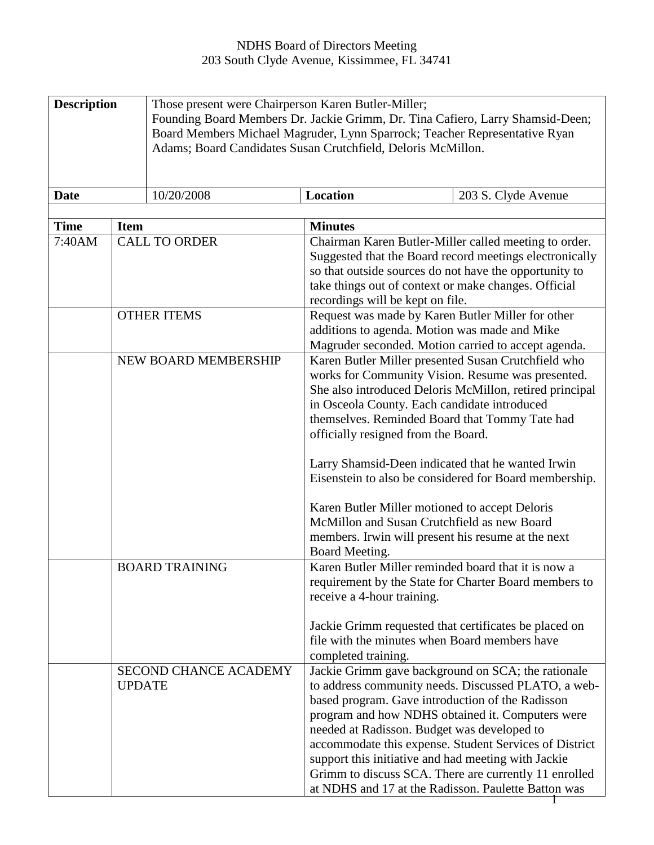## NDHS Board of Directors Meeting 203 South Clyde Avenue, Kissimmee, FL 34741

| <b>Description</b><br><b>Date</b><br><b>Time</b><br><b>Item</b><br>7:40AM |               | Those present were Chairperson Karen Butler-Miller;<br>Founding Board Members Dr. Jackie Grimm, Dr. Tina Cafiero, Larry Shamsid-Deen;<br>Board Members Michael Magruder, Lynn Sparrock; Teacher Representative Ryan<br>Adams; Board Candidates Susan Crutchfield, Deloris McMillon.<br>10/20/2008<br>Location<br>203 S. Clyde Avenue<br><b>Minutes</b><br><b>CALL TO ORDER</b><br>Chairman Karen Butler-Miller called meeting to order. |                                                                                                                                                                                                                                                                                                                                                                     |                                                                                                                                                                                                                                                                                                                                         |
|---------------------------------------------------------------------------|---------------|-----------------------------------------------------------------------------------------------------------------------------------------------------------------------------------------------------------------------------------------------------------------------------------------------------------------------------------------------------------------------------------------------------------------------------------------|---------------------------------------------------------------------------------------------------------------------------------------------------------------------------------------------------------------------------------------------------------------------------------------------------------------------------------------------------------------------|-----------------------------------------------------------------------------------------------------------------------------------------------------------------------------------------------------------------------------------------------------------------------------------------------------------------------------------------|
|                                                                           |               |                                                                                                                                                                                                                                                                                                                                                                                                                                         | take things out of context or make changes. Official<br>recordings will be kept on file.                                                                                                                                                                                                                                                                            | Suggested that the Board record meetings electronically<br>so that outside sources do not have the opportunity to                                                                                                                                                                                                                       |
|                                                                           |               | <b>OTHER ITEMS</b>                                                                                                                                                                                                                                                                                                                                                                                                                      | Request was made by Karen Butler Miller for other<br>additions to agenda. Motion was made and Mike                                                                                                                                                                                                                                                                  | Magruder seconded. Motion carried to accept agenda.                                                                                                                                                                                                                                                                                     |
|                                                                           |               | NEW BOARD MEMBERSHIP                                                                                                                                                                                                                                                                                                                                                                                                                    | in Osceola County. Each candidate introduced<br>themselves. Reminded Board that Tommy Tate had<br>officially resigned from the Board.<br>Larry Shamsid-Deen indicated that he wanted Irwin<br>Karen Butler Miller motioned to accept Deloris<br>McMillon and Susan Crutchfield as new Board<br>members. Irwin will present his resume at the next<br>Board Meeting. | Karen Butler Miller presented Susan Crutchfield who<br>works for Community Vision. Resume was presented.<br>She also introduced Deloris McMillon, retired principal<br>Eisenstein to also be considered for Board membership.                                                                                                           |
|                                                                           |               | <b>BOARD TRAINING</b>                                                                                                                                                                                                                                                                                                                                                                                                                   | Karen Butler Miller reminded board that it is now a<br>receive a 4-hour training.<br>file with the minutes when Board members have<br>completed training.                                                                                                                                                                                                           | requirement by the State for Charter Board members to<br>Jackie Grimm requested that certificates be placed on                                                                                                                                                                                                                          |
|                                                                           | <b>UPDATE</b> | <b>SECOND CHANCE ACADEMY</b>                                                                                                                                                                                                                                                                                                                                                                                                            | based program. Gave introduction of the Radisson<br>needed at Radisson. Budget was developed to<br>support this initiative and had meeting with Jackie                                                                                                                                                                                                              | Jackie Grimm gave background on SCA; the rationale<br>to address community needs. Discussed PLATO, a web-<br>program and how NDHS obtained it. Computers were<br>accommodate this expense. Student Services of District<br>Grimm to discuss SCA. There are currently 11 enrolled<br>at NDHS and 17 at the Radisson. Paulette Batton was |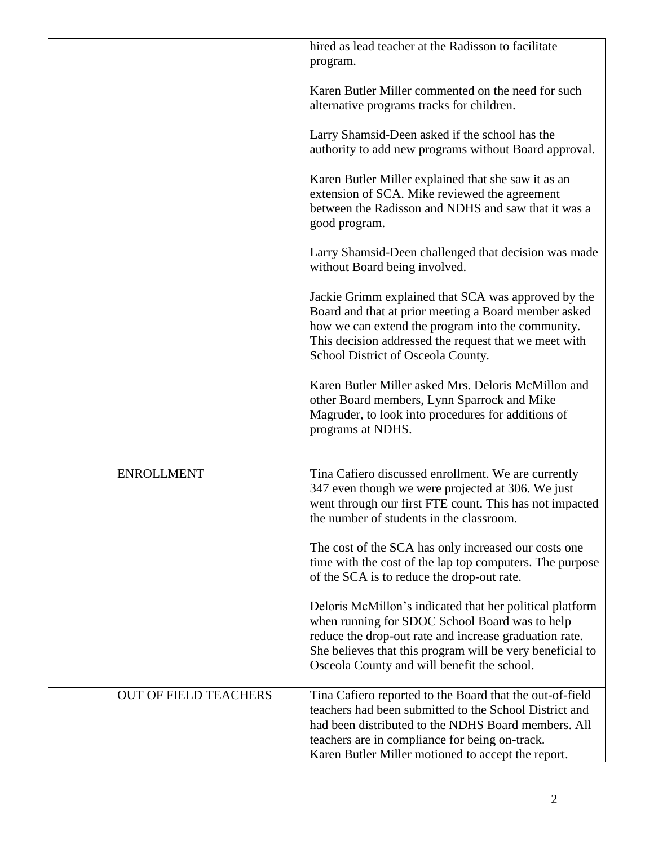|                              | hired as lead teacher at the Radisson to facilitate<br>program.                                                                                                                                                                                                                   |
|------------------------------|-----------------------------------------------------------------------------------------------------------------------------------------------------------------------------------------------------------------------------------------------------------------------------------|
|                              | Karen Butler Miller commented on the need for such<br>alternative programs tracks for children.                                                                                                                                                                                   |
|                              | Larry Shamsid-Deen asked if the school has the<br>authority to add new programs without Board approval.                                                                                                                                                                           |
|                              | Karen Butler Miller explained that she saw it as an<br>extension of SCA. Mike reviewed the agreement<br>between the Radisson and NDHS and saw that it was a<br>good program.                                                                                                      |
|                              | Larry Shamsid-Deen challenged that decision was made<br>without Board being involved.                                                                                                                                                                                             |
|                              | Jackie Grimm explained that SCA was approved by the<br>Board and that at prior meeting a Board member asked<br>how we can extend the program into the community.<br>This decision addressed the request that we meet with<br>School District of Osceola County.                   |
|                              | Karen Butler Miller asked Mrs. Deloris McMillon and<br>other Board members, Lynn Sparrock and Mike<br>Magruder, to look into procedures for additions of<br>programs at NDHS.                                                                                                     |
| <b>ENROLLMENT</b>            | Tina Cafiero discussed enrollment. We are currently<br>347 even though we were projected at 306. We just<br>went through our first FTE count. This has not impacted<br>the number of students in the classroom.                                                                   |
|                              | The cost of the SCA has only increased our costs one<br>time with the cost of the lap top computers. The purpose<br>of the SCA is to reduce the drop-out rate.                                                                                                                    |
|                              | Deloris McMillon's indicated that her political platform<br>when running for SDOC School Board was to help<br>reduce the drop-out rate and increase graduation rate.<br>She believes that this program will be very beneficial to<br>Osceola County and will benefit the school.  |
| <b>OUT OF FIELD TEACHERS</b> | Tina Cafiero reported to the Board that the out-of-field<br>teachers had been submitted to the School District and<br>had been distributed to the NDHS Board members. All<br>teachers are in compliance for being on-track.<br>Karen Butler Miller motioned to accept the report. |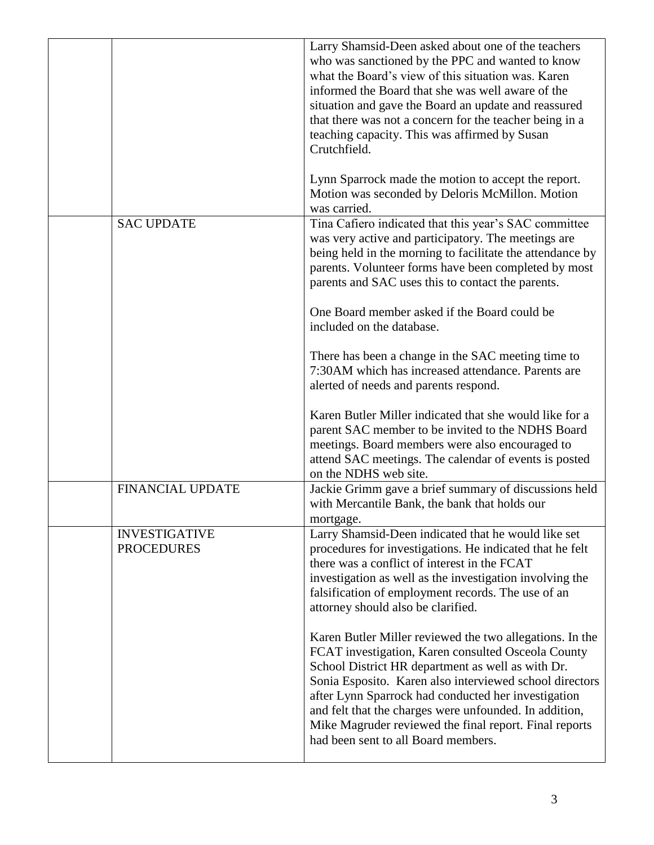|                                           | Larry Shamsid-Deen asked about one of the teachers<br>who was sanctioned by the PPC and wanted to know<br>what the Board's view of this situation was. Karen<br>informed the Board that she was well aware of the<br>situation and gave the Board an update and reassured<br>that there was not a concern for the teacher being in a<br>teaching capacity. This was affirmed by Susan<br>Crutchfield.                                            |
|-------------------------------------------|--------------------------------------------------------------------------------------------------------------------------------------------------------------------------------------------------------------------------------------------------------------------------------------------------------------------------------------------------------------------------------------------------------------------------------------------------|
|                                           | Lynn Sparrock made the motion to accept the report.<br>Motion was seconded by Deloris McMillon. Motion<br>was carried.                                                                                                                                                                                                                                                                                                                           |
| <b>SAC UPDATE</b>                         | Tina Cafiero indicated that this year's SAC committee<br>was very active and participatory. The meetings are<br>being held in the morning to facilitate the attendance by<br>parents. Volunteer forms have been completed by most<br>parents and SAC uses this to contact the parents.<br>One Board member asked if the Board could be<br>included on the database.                                                                              |
|                                           | There has been a change in the SAC meeting time to<br>7:30AM which has increased attendance. Parents are<br>alerted of needs and parents respond.                                                                                                                                                                                                                                                                                                |
|                                           | Karen Butler Miller indicated that she would like for a<br>parent SAC member to be invited to the NDHS Board<br>meetings. Board members were also encouraged to<br>attend SAC meetings. The calendar of events is posted<br>on the NDHS web site.                                                                                                                                                                                                |
| <b>FINANCIAL UPDATE</b>                   | Jackie Grimm gave a brief summary of discussions held<br>with Mercantile Bank, the bank that holds our<br>mortgage.                                                                                                                                                                                                                                                                                                                              |
| <b>INVESTIGATIVE</b><br><b>PROCEDURES</b> | Larry Shamsid-Deen indicated that he would like set<br>procedures for investigations. He indicated that he felt<br>there was a conflict of interest in the FCAT<br>investigation as well as the investigation involving the<br>falsification of employment records. The use of an<br>attorney should also be clarified.                                                                                                                          |
|                                           | Karen Butler Miller reviewed the two allegations. In the<br>FCAT investigation, Karen consulted Osceola County<br>School District HR department as well as with Dr.<br>Sonia Esposito. Karen also interviewed school directors<br>after Lynn Sparrock had conducted her investigation<br>and felt that the charges were unfounded. In addition,<br>Mike Magruder reviewed the final report. Final reports<br>had been sent to all Board members. |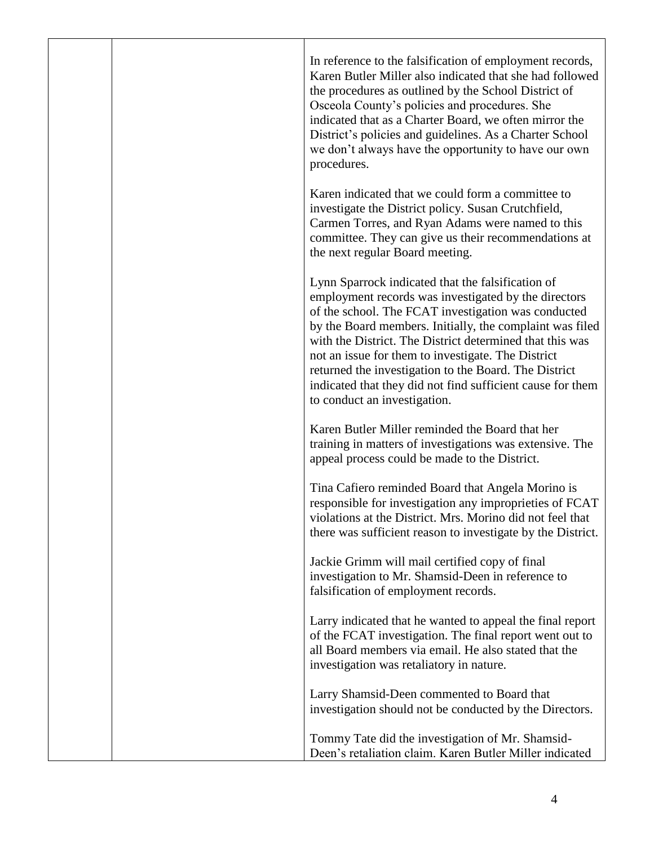|  | In reference to the falsification of employment records,<br>Karen Butler Miller also indicated that she had followed<br>the procedures as outlined by the School District of<br>Osceola County's policies and procedures. She<br>indicated that as a Charter Board, we often mirror the<br>District's policies and guidelines. As a Charter School<br>we don't always have the opportunity to have our own<br>procedures.                                                                             |
|--|-------------------------------------------------------------------------------------------------------------------------------------------------------------------------------------------------------------------------------------------------------------------------------------------------------------------------------------------------------------------------------------------------------------------------------------------------------------------------------------------------------|
|  | Karen indicated that we could form a committee to<br>investigate the District policy. Susan Crutchfield,<br>Carmen Torres, and Ryan Adams were named to this<br>committee. They can give us their recommendations at<br>the next regular Board meeting.                                                                                                                                                                                                                                               |
|  | Lynn Sparrock indicated that the falsification of<br>employment records was investigated by the directors<br>of the school. The FCAT investigation was conducted<br>by the Board members. Initially, the complaint was filed<br>with the District. The District determined that this was<br>not an issue for them to investigate. The District<br>returned the investigation to the Board. The District<br>indicated that they did not find sufficient cause for them<br>to conduct an investigation. |
|  | Karen Butler Miller reminded the Board that her<br>training in matters of investigations was extensive. The<br>appeal process could be made to the District.                                                                                                                                                                                                                                                                                                                                          |
|  | Tina Cafiero reminded Board that Angela Morino is<br>responsible for investigation any improprieties of FCAT<br>violations at the District. Mrs. Morino did not feel that<br>there was sufficient reason to investigate by the District.                                                                                                                                                                                                                                                              |
|  | Jackie Grimm will mail certified copy of final<br>investigation to Mr. Shamsid-Deen in reference to<br>falsification of employment records.                                                                                                                                                                                                                                                                                                                                                           |
|  | Larry indicated that he wanted to appeal the final report<br>of the FCAT investigation. The final report went out to<br>all Board members via email. He also stated that the<br>investigation was retaliatory in nature.                                                                                                                                                                                                                                                                              |
|  | Larry Shamsid-Deen commented to Board that<br>investigation should not be conducted by the Directors.                                                                                                                                                                                                                                                                                                                                                                                                 |
|  | Tommy Tate did the investigation of Mr. Shamsid-<br>Deen's retaliation claim. Karen Butler Miller indicated                                                                                                                                                                                                                                                                                                                                                                                           |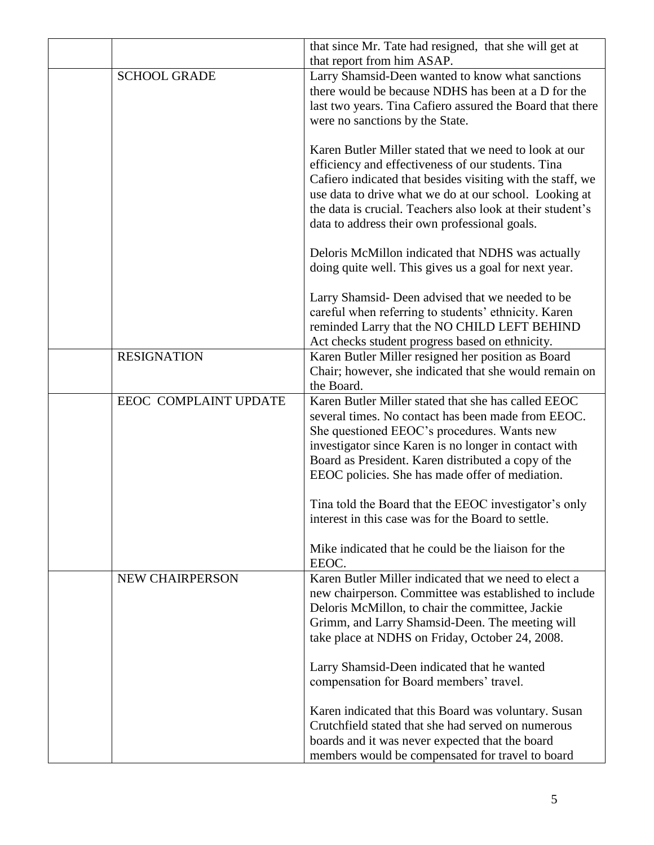|                        | that since Mr. Tate had resigned, that she will get at<br>that report from him ASAP.                                                                                                                                                                                                                                                                |
|------------------------|-----------------------------------------------------------------------------------------------------------------------------------------------------------------------------------------------------------------------------------------------------------------------------------------------------------------------------------------------------|
| <b>SCHOOL GRADE</b>    | Larry Shamsid-Deen wanted to know what sanctions<br>there would be because NDHS has been at a D for the<br>last two years. Tina Cafiero assured the Board that there<br>were no sanctions by the State.                                                                                                                                             |
|                        | Karen Butler Miller stated that we need to look at our<br>efficiency and effectiveness of our students. Tina<br>Cafiero indicated that besides visiting with the staff, we<br>use data to drive what we do at our school. Looking at<br>the data is crucial. Teachers also look at their student's<br>data to address their own professional goals. |
|                        | Deloris McMillon indicated that NDHS was actually<br>doing quite well. This gives us a goal for next year.                                                                                                                                                                                                                                          |
|                        | Larry Shamsid-Deen advised that we needed to be<br>careful when referring to students' ethnicity. Karen<br>reminded Larry that the NO CHILD LEFT BEHIND<br>Act checks student progress based on ethnicity.                                                                                                                                          |
| <b>RESIGNATION</b>     | Karen Butler Miller resigned her position as Board<br>Chair; however, she indicated that she would remain on<br>the Board.                                                                                                                                                                                                                          |
| EEOC COMPLAINT UPDATE  | Karen Butler Miller stated that she has called EEOC<br>several times. No contact has been made from EEOC.<br>She questioned EEOC's procedures. Wants new<br>investigator since Karen is no longer in contact with<br>Board as President. Karen distributed a copy of the<br>EEOC policies. She has made offer of mediation.                         |
|                        | Tina told the Board that the EEOC investigator's only<br>interest in this case was for the Board to settle.                                                                                                                                                                                                                                         |
|                        | Mike indicated that he could be the liaison for the<br>EEOC.                                                                                                                                                                                                                                                                                        |
| <b>NEW CHAIRPERSON</b> | Karen Butler Miller indicated that we need to elect a<br>new chairperson. Committee was established to include<br>Deloris McMillon, to chair the committee, Jackie<br>Grimm, and Larry Shamsid-Deen. The meeting will<br>take place at NDHS on Friday, October 24, 2008.                                                                            |
|                        | Larry Shamsid-Deen indicated that he wanted<br>compensation for Board members' travel.                                                                                                                                                                                                                                                              |
|                        | Karen indicated that this Board was voluntary. Susan<br>Crutchfield stated that she had served on numerous<br>boards and it was never expected that the board<br>members would be compensated for travel to board                                                                                                                                   |